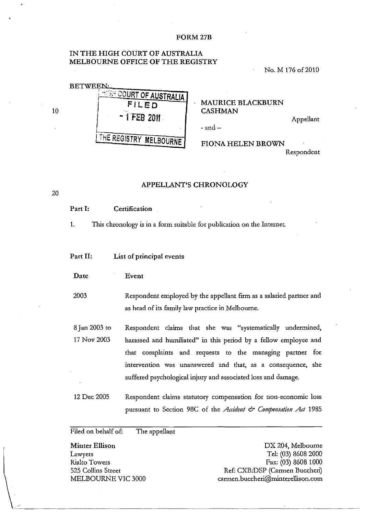#### FORM27B

## IN THE HIGH COURT OF AUSTRALIA MELBOURNE OFFICE OF THE REGISTRY

No. M 176 of 2010

| <b>BETWEEN:</b> |                                  |
|-----------------|----------------------------------|
|                 | <b>HIGH COURT OF AUSTRALIA  </b> |
|                 | FILED                            |
|                 | $-1$ FEB 2011                    |
|                 | THE REGISTRY MELBOURNE           |

MAURICE BLACKBURN CASHMAN

 $-$  and  $-$ 

Appellant

# FIONA HELEN BROWN

Respondent

### APPELLANT'S CHRONOLOGY

# Part I: Certification

10

20

1. This chronology is in a form suitable for publication on the Internet

#### Part II: List of principal events

Date Event

2003 Respondent employed by the appellant firm as a salaried partner and as head of its family law practice in Melbourne.

- 8 Jan 2003 to 17 Nov 2003 Respondent claims that she was "systematically undermined, harassed and humiliated" in this period by a fellow employee and that complaints and requests to the managing partner for intervention was unanswered and that, as a consequence, she suffered psychological injury and associated loss and damage.
- 12 Dec 2005 Respondent claims statutory compensation for non-economic loss pursuant to Section 98C of the *Accident & Compensation Act* 1985

Filed on behalf of: The appellant

Minter Ellison Lawyers Rialto Towers 525 Collins Street MELBOURNE VIC 3000

DX 204, Melbourne Tel: (03) 8608 2000 Fax: (03) 8608 1000 Ref: CXB:DSP (Carmen Buccheri) carmen.buccheri@minterellison.com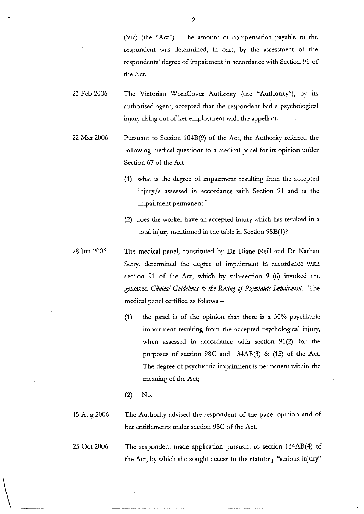(Vic) (the "Act"). The amount of compensation payable to the respondent was determined, in part, by the assessment of the respondents' degree of impairment in accordance with Section 91 of the Act.

- 23 Feb 2006 The Victorian WorkCover Authority (the "Authority"), by its authorised agent, accepted that the respondent had a psychological injury rising out of her employment with the appellant.
- 22 Mar 2006 Pursuant to Section 104B(9) of the Act, the Authority referred the following medical questions to a medical panel for its opinion under Section 67 of the Act -
	- (1) what is the degree of impairment resulting from the accepted injury/s assessed in accordance with Section 91 and is the impairment permanent?
	- (2) does the worker have an accepted injury which has resulted in a total injury mentioned in the table in Section 98E(1)?
- 28 Jun 2006 The medical panel, constituted by Dr Diane Neill and Dr Nathan Serry, determined the degree of impairment in accordance with section 91 of the Act, which by sub-section 91(6) invoked the gazetted *Clinical Guidelines to the Rating of Psychiatric Impairment*. The medical panel certified as follows -
	- $(1)$  the panel is of the opinion that there is a 30% psychiatric impairment resulting from the accepted psychological injury, when assessed in accordance with section 91(2) for the purposes of section 98C and 134AB(3) & (15) of the Act. The degree of psychiatric impairment is permanent within the meaning of the Act;
	- (2) No.

 $\setminus$ 

- 15 Aug 2006 The Authority advised the respondent of the panel opinion and of her entidements under section 98C of the Act.
- 25 Oct 2006 The respondent made application pursuant to section 134AB(4) of the Act, by which she sought access to the statutory "serious injury"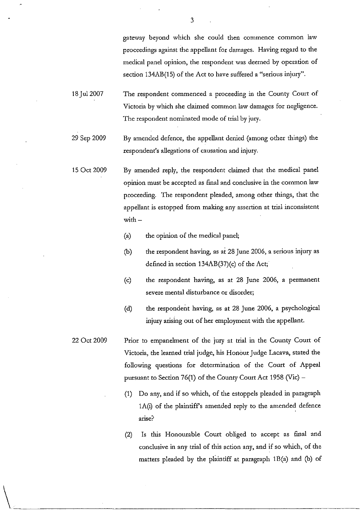gateway beyond which she could then commence common law proceedings against the appellant for damages. Having regard to the medical panel opinion, the respondent was deemed by operation of section 134AB(15) of the Act to have suffered a "serious injury".

- 18 Jul2007 The respondent commenced a proceeding in the County Court of Victoria by which she claimed common law damages for negligence. The respondent nominated mode of trial by jury.
- 29 Sep 2009 By amended defence, the appellant denied (among other things) the respondent's allegations of causation and injury.
- 15 Oct 2009 By amended reply, the respondent claimed that the medical panel opinion must be accepted as final and conclusive in the common law proceeding. The respondent pleaded, among other things, that the appellant is estopped from making any assertion at trial inconsistent with  $-$ 
	- (a) the opinion of the medical panel;
	- (b) the respondent having, as at 28 June 2006, a serious injury as defined in section  $134AB(37)$ (c) of the Act;
	- (c) the respondent having, as at 28 June 2006, a permanent severe mental disturbance or disorder;
	- (d) the respondent having, as at 28 June 2006, a psychological injury arising out of her employment with the appellant.
- 22 Oct 2009 Prior to empanelment of the jury at trial in the County Court of Victoria, the learned trial judge, his Honour Judge Lacava, stated the following questions for determination of the Court of Appeal pursuant to Section 76(1) of the County Court Act 1958 (Vic)  $-$ 
	- $(1)$  Do any, and if so which, of the estoppels pleaded in paragraph lA(i) of the plaintiffs amended reply to the amended defence arise?
	- (2) Is this Honourable Court obliged to accept as final and conclusive in any trial of this action any, and if so which, of the matters pleaded by the plaintiff at paragraph  $1B(a)$  and (b) of

3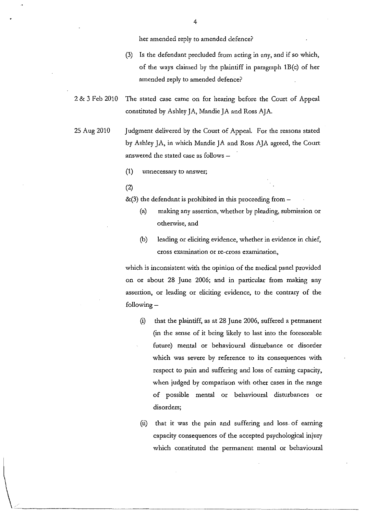her amended reply to amended defence?

- (3) Is the defendant precluded from acting in any, and if so which, of the ways claimed by the plaintiff in paragraph  $1B(c)$  of her amended reply to amended defence?
- 2 & 3 Feb 2010 The stated case came on for hearing before the Court of Appeal constituted by Ashley JA, Mandie JA and Ross AJA.
- 25 Aug 2010 Judgment delivered by the Court of Appeal. For the reasons stated by Ashley JA, in which Mandie JA and Ross AJA agreed, the Court answered the stated case as follows -
	- **(1) unnecessary to answer;**
	- (2)
	- $&(3)$  the defendant is prohibited in this proceeding from  $-$ 
		- (a) making any assertion, whether by pleading, submission or otherwise, and
		- (b) leading or eliciting evidence, whether in evidence in chief, cross examination or re-cross examination,

which *is* inconsistent with the opinion of the medical panel provided on or about 28 June 2006; and in particular from making any assertion, or leading or eliciting evidence, to the contrary of the following  $-$ 

- (i) that the plaintiff, as at 28 June 2006, suffered a permanent (in the sense of it being likely to last into the foreseeable future) mental or behavioural disturbance or disorder which was severe by reference to its consequences with respect to pain and suffering and loss of earning capacity, when judged by comparison with other cases in the range of possible mental or behavioural disturbances or disorders;
- (ii) that it was the pain and suffering and loss. of earning capacity consequences of the accepted psychological injury which constituted the permanent mental or behavioural